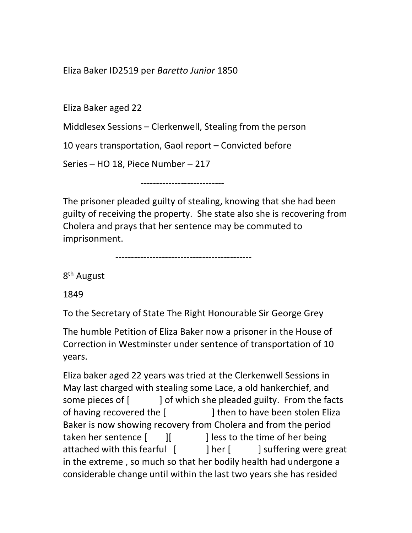Eliza Baker ID2519 per Baretto Junior 1850

Eliza Baker aged 22

Middlesex Sessions – Clerkenwell, Stealing from the person

10 years transportation, Gaol report – Convicted before

Series – HO 18, Piece Number – 217

---------------------------

The prisoner pleaded guilty of stealing, knowing that she had been guilty of receiving the property. She state also she is recovering from Cholera and prays that her sentence may be commuted to imprisonment.

--------------------------------------------

8<sup>th</sup> August

1849

To the Secretary of State The Right Honourable Sir George Grey

The humble Petition of Eliza Baker now a prisoner in the House of Correction in Westminster under sentence of transportation of 10 years.

Eliza baker aged 22 years was tried at the Clerkenwell Sessions in May last charged with stealing some Lace, a old hankerchief, and some pieces of [ ] of which she pleaded guilty. From the facts of having recovered the [  $\vert$  ] then to have been stolen Eliza Baker is now showing recovery from Cholera and from the period taken her sentence  $\begin{bmatrix} \begin{bmatrix} \end{bmatrix} & \end{bmatrix}$  less to the time of her being attached with this fearful [ ] her [ ] suffering were great in the extreme , so much so that her bodily health had undergone a considerable change until within the last two years she has resided